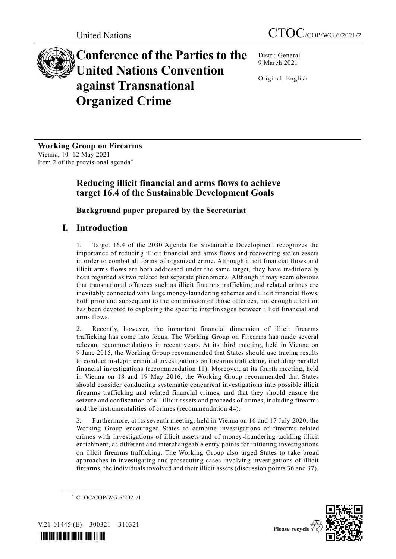# **Conference of the Parties to the United Nations Convention against Transnational Organized Crime**

Distr.: General 9 March 2021

Original: English

**Working Group on Firearms** Vienna, 10–12 May 2021 Item 2 of the provisional agenda\*

# **Reducing illicit financial and arms flows to achieve target 16.4 of the Sustainable Development Goals**

**Background paper prepared by the Secretariat**

# **I. Introduction**

1. Target 16.4 of the 2030 Agenda for Sustainable Development recognizes the importance of reducing illicit financial and arms flows and recovering stolen assets in order to combat all forms of organized crime. Although illicit financial flows and illicit arms flows are both addressed under the same target, they have traditionally been regarded as two related but separate phenomena. Although it may seem obvious that transnational offences such as illicit firearms trafficking and related crimes are inevitably connected with large money-laundering schemes and illicit financial flows, both prior and subsequent to the commission of those offences, not enough attention has been devoted to exploring the specific interlinkages between illicit financial and arms flows.

2. Recently, however, the important financial dimension of illicit firearms trafficking has come into focus. The Working Group on Firearms has made several relevant recommendations in recent years. At its third meeting, held in Vienna on 9 June 2015, the Working Group recommended that States should use tracing results to conduct in-depth criminal investigations on firearms trafficking, including parallel financial investigations (recommendation 11). Moreover, at its fourth meeting, held in Vienna on 18 and 19 May 2016, the Working Group recommended that States should consider conducting systematic concurrent investigations into possible illicit firearms trafficking and related financial crimes, and that they should ensure the seizure and confiscation of all illicit assets and proceeds of crimes, including firearms and the instrumentalities of crimes (recommendation 44).

3. Furthermore, at its seventh meeting, held in Vienna on 16 and 17 July 2020, the Working Group encouraged States to combine investigations of firearms-related crimes with investigations of illicit assets and of money-laundering tackling illicit enrichment, as different and interchangeable entry points for initiating investigations on illicit firearms trafficking. The Working Group also urged States to take broad approaches in investigating and prosecuting cases involving investigations of illicit firearms, the individuals involved and their illicit assets (discussion points 36 and 37).

<sup>\*</sup> CTOC/COP/WG.6/2021/1.



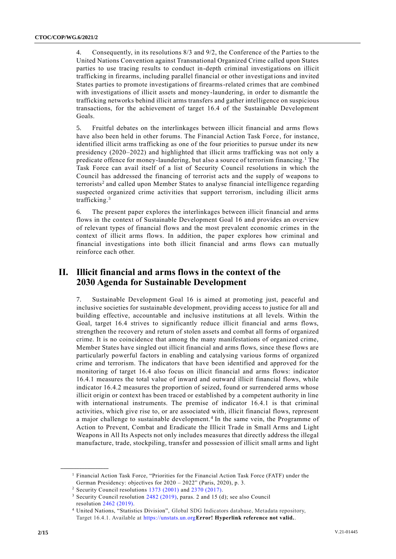4. Consequently, in its resolutions 8/3 and 9/2, the Conference of the Parties to the United Nations Convention against Transnational Organized Crime called upon States parties to use tracing results to conduct in-depth criminal investigations on illicit trafficking in firearms, including parallel financial or other investigations and invited States parties to promote investigations of firearms-related crimes that are combined with investigations of illicit assets and money-laundering, in order to dismantle the trafficking networks behind illicit arms transfers and gather intelligence on suspicious transactions, for the achievement of target 16.4 of the Sustainable Development Goals.

5. Fruitful debates on the interlinkages between illicit financial and arms flows have also been held in other forums. The Financial Action Task Force, for instance, identified illicit arms trafficking as one of the four priorities to pursue under its new presidency (2020–2022) and highlighted that illicit arms trafficking was not only a predicate offence for money-laundering, but also a source of terrorism financing.<sup>1</sup> The Task Force can avail itself of a list of Security Council resolutions in which the Council has addressed the financing of terrorist acts and the supply of weapons to terrorists<sup>2</sup> and called upon Member States to analyse financial intelligence regarding suspected organized crime activities that support terrorism, including illicit arms trafficking.<sup>3</sup>

6. The present paper explores the interlinkages between illicit financial and arms flows in the context of Sustainable Development Goal 16 and provides an overview of relevant types of financial flows and the most prevalent economic crimes in the context of illicit arms flows. In addition, the paper explores how criminal and financial investigations into both illicit financial and arms flows can mutually reinforce each other.

# **II. Illicit financial and arms flows in the context of the 2030 Agenda for Sustainable Development**

7. Sustainable Development Goal 16 is aimed at promoting just, peaceful and inclusive societies for sustainable development, providing access to justice for all and building effective, accountable and inclusive institutions at all levels. Within the Goal, target 16.4 strives to significantly reduce illicit financial and arms flows, strengthen the recovery and return of stolen assets and combat all forms of organized crime. It is no coincidence that among the many manifestations of organized crime, Member States have singled out illicit financial and arms flows, since these flows are particularly powerful factors in enabling and catalysing various forms of organized crime and terrorism. The indicators that have been identified and approved for the monitoring of target 16.4 also focus on illicit financial and arms flows: indicator 16.4.1 measures the total value of inward and outward illicit financial flows, while indicator 16.4.2 measures the proportion of seized, found or surrendered arms whose illicit origin or context has been traced or established by a competent authority in line with international instruments. The premise of indicator 16.4.1 is that criminal activities, which give rise to, or are associated with, illicit financial flows, represent a major challenge to sustainable development.<sup>4</sup> In the same vein, the Programme of Action to Prevent, Combat and Eradicate the Illicit Trade in Small Arms and Light Weapons in All Its Aspects not only includes measures that directly address the illegal manufacture, trade, stockpiling, transfer and possession of illicit small arms and light

<sup>1</sup> Financial Action Task Force, "Priorities for the Financial Action Task Force (FATF) under the German Presidency: objectives for 2020 – 2022" (Paris, 2020), p. 3.

<sup>2</sup> Security Council resolutions [1373 \(2001\)](https://undocs.org/S/RES/1373(2001)) and [2370 \(2017\).](https://undocs.org/S/RES/2370(2017))

<sup>3</sup> Security Council resolution [2482 \(2019\),](https://undocs.org/S/RES/2482(2019)) paras. 2 and 15 (d); see also Council resolution [2462 \(2019\).](https://undocs.org/S/RES/2462(2019))

<sup>4</sup> United Nations, "Statistics Division", Global SDG Indicators database, Metadata repository, Target 16.4.1. Available at [https://unstats.un.org](https://unstats.un.org/)**Error! Hyperlink reference not valid.**.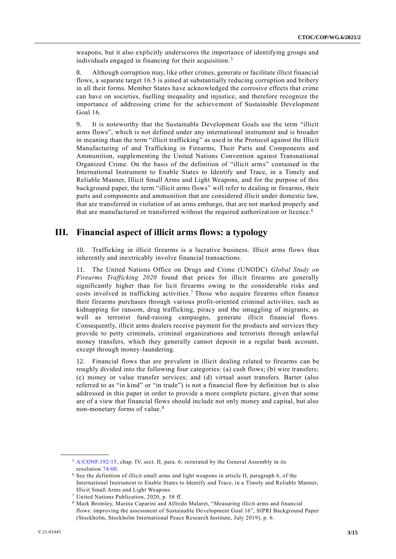weapons, but it also explicitly underscores the importance of identifying groups and individuals engaged in financing for their acquisition. <sup>5</sup>

8. Although corruption may, like other crimes, generate or facilitate illicit financial flows, a separate target 16.5 is aimed at substantially reducing corruption and bribery in all their forms. Member States have acknowledged the corrosive effects that crime can have on societies, fuelling inequality and injustice, and therefore recognize the importance of addressing crime for the achievement of Sustainable Development Goal 16.

9. It is noteworthy that the Sustainable Development Goals use the term "illicit arms flows", which is not defined under any international instrument and is broader in meaning than the term "illicit trafficking" as used in the Protocol against the Illicit Manufacturing of and Trafficking in Firearms, Their Parts and Components and Ammunition, supplementing the United Nations Convention against Transnational Organized Crime. On the basis of the definition of "illicit arms" contained in the International Instrument to Enable States to Identify and Trace, in a Timely and Reliable Manner, Illicit Small Arms and Light Weapons, and for the purpose of this background paper, the term "illicit arms flows" will refer to dealing in firearms, their parts and components and ammunition that are considered illicit under domestic law, that are transferred in violation of an arms embargo, that are not marked properly and that are manufactured or transferred without the required authorization or licence.<sup>6</sup>

# **III. Financial aspect of illicit arms flows: a typology**

10. Trafficking in illicit firearms is a lucrative business. Illicit arms flows thus inherently and inextricably involve financial transactions.

11. The United Nations Office on Drugs and Crime (UNODC) *Global Study on Firearms Trafficking 2020* found that prices for illicit firearms are generally significantly higher than for licit firearms owing to the considerable risks and costs involved in trafficking activities.<sup>7</sup> Those who acquire firearms often finance their firearms purchases through various profit-oriented criminal activities, such as kidnapping for ransom, drug trafficking, piracy and the smuggling of migrants, as well as terrorist fund-raising campaigns, generate illicit financial flows. Consequently, illicit arms dealers receive payment for the products and services they provide to petty criminals, criminal organizations and terrorists through unlawful money transfers, which they generally cannot deposit in a regular bank account, except through money-laundering.

12. Financial flows that are prevalent in illicit dealing related to firearms can be roughly divided into the following four categories: (a) cash flows; (b) wire transfers; (c) money or value transfer services; and (d) virtual asset transfers. Barter (also referred to as "in kind" or "in trade") is not a financial flow by definition but is also addressed in this paper in order to provide a more complete picture, given that some are of a view that financial flows should include not only money and capital, but also non-monetary forms of value.<sup>8</sup>

<sup>5</sup> [A/CONF.192/15,](https://undocs.org/en/A/CONF.192/15%20(SUPP)) chap. IV, sect. II, para. 6; reiterated by the General Assembly in its resolution [74/60.](http://undocs.org/A/RES/74/60)

<sup>6</sup> See the definition of illicit small arms and light weapons in article II, paragraph 6, of the International Instrument to Enable States to Identify and Trace, in a Timely and Reliable Manner, Illicit Small Arms and Light Weapons.

<sup>7</sup> United Nations Publication, 2020, p. 58 ff.

<sup>8</sup> Mark Bromley, Marina Caparini and Alfredo Malaret, "Measuring illicit arms and financial flows: improving the assessment of Sustainable Development Goal 16", SIPRI Background Paper (Stockholm, Stockholm International Peace Research Institute, July 2019), p. 6.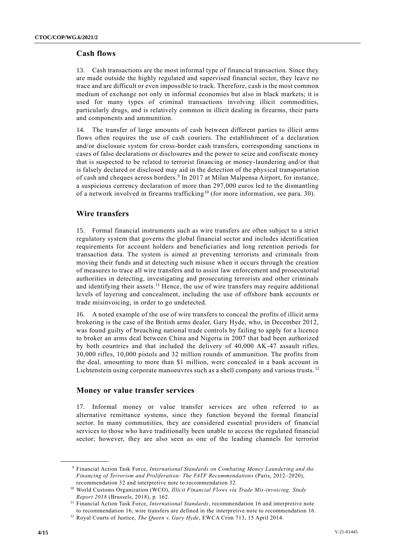### **Cash flows**

13. Cash transactions are the most informal type of financial transaction. Since they are made outside the highly regulated and supervised financial sector, they leave no trace and are difficult or even impossible to track. Therefore, cash is the most common medium of exchange not only in informal economies but also in black markets; it is used for many types of criminal transactions involving illicit commodities, particularly drugs, and is relatively common in illicit dealing in firearms, their parts and components and ammunition.

14. The transfer of large amounts of cash between different parties to illicit arms flows often requires the use of cash couriers. The establishment of a declaration and/or disclosure system for cross-border cash transfers, corresponding sanctions in cases of false declarations or disclosures and the power to seize and confiscate money that is suspected to be related to terrorist financing or money-laundering and/or that is falsely declared or disclosed may aid in the detection of the physical transportation of cash and cheques across borders.<sup>9</sup> In 2017 at Milan Malpensa Airport, for instance, a suspicious currency declaration of more than 297,000 euros led to the dismantling of a network involved in firearms trafficking<sup>10</sup> (for more information, see para. 30).

## **Wire transfers**

15. Formal financial instruments such as wire transfers are often subject to a strict regulatory system that governs the global financial sector and includes identification requirements for account holders and beneficiaries and long retention periods for transaction data. The system is aimed at preventing terrorists and criminals from moving their funds and at detecting such misuse when it occurs through the creation of measures to trace all wire transfers and to assist law enforcement and prosecutorial authorities in detecting, investigating and prosecuting terrorists and other criminals and identifying their assets.<sup>11</sup> Hence, the use of wire transfers may require additional levels of layering and concealment, including the use of offshore bank accounts or trade misinvoicing, in order to go undetected.

16. A noted example of the use of wire transfers to conceal the profits of illicit arms brokering is the case of the British arms dealer, Gary Hyde, who, in December 2012, was found guilty of breaching national trade controls by failing to apply for a licence to broker an arms deal between China and Nigeria in 2007 that had been authorized by both countries and that included the delivery of 40,000 AK-47 assault rifles, 30,000 rifles, 10,000 pistols and 32 million rounds of ammunition. The profits from the deal, amounting to more than \$1 million, were concealed in a bank account in Lichtenstein using corporate manoeuvres such as a shell company and various trusts.<sup>12</sup>

### **Money or value transfer services**

17. Informal money or value transfer services are often referred to as alternative remittance systems, since they function beyond the formal financial sector. In many communities, they are considered essential providers of financial services to those who have traditionally been unable to access the regulated financial sector; however, they are also seen as one of the leading channels for terrorist

<sup>9</sup> Financial Action Task Force, *International Standards on Combating Money Laundering and the Financing of Terrorism and Proliferation: The FATF Recommendations* (Paris, 2012–2020), recommendation 32 and interpretive note to recommendation 32.

<sup>10</sup> World Customs Organization (WCO), *Illicit Financial Flows via Trade Mis-invoicing: Study Report 2018* (Brussels, 2018), p. 162.

<sup>&</sup>lt;sup>11</sup> Financial Action Task Force, *International Standards*, recommendation 16 and interpretive note to recommendation 16; wire transfers are defined in the interpretive note to recommendation 16.

<sup>12</sup> Royal Courts of Justice, *The Queen v. Gary Hyde*, EWCA Crim 713, 15 April 2014.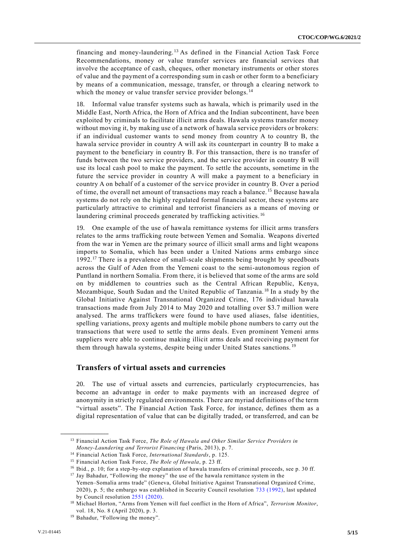financing and money-laundering.<sup>13</sup> As defined in the Financial Action Task Force Recommendations, money or value transfer services are financial services that involve the acceptance of cash, cheques, other monetary instruments or other stores of value and the payment of a corresponding sum in cash or other form to a beneficiary by means of a communication, message, transfer, or through a clearing network to which the money or value transfer service provider belongs.<sup>14</sup>

18. Informal value transfer systems such as hawala, which is primarily used in the Middle East, North Africa, the Horn of Africa and the Indian subcontinent, have been exploited by criminals to facilitate illicit arms deals. Hawala systems transfer money without moving it, by making use of a network of hawala service providers or brokers: if an individual customer wants to send money from country A to country B, the hawala service provider in country A will ask its counterpart in country B to make a payment to the beneficiary in country B. For this transaction, there is no transfer of funds between the two service providers, and the service provider in country B will use its local cash pool to make the payment. To settle the accounts, sometime in the future the service provider in country A will make a payment to a beneficiary in country A on behalf of a customer of the service provider in country B. Over a period of time, the overall net amount of transactions may reach a balance. <sup>15</sup> Because hawala systems do not rely on the highly regulated formal financial sector, these systems are particularly attractive to criminal and terrorist financiers as a means of moving or laundering criminal proceeds generated by trafficking activities.<sup>16</sup>

19. One example of the use of hawala remittance systems for illicit arms transfers relates to the arms trafficking route between Yemen and Somalia. Weapons diverted from the war in Yemen are the primary source of illicit small arms and light weapons imports to Somalia, which has been under a United Nations arms embargo since 1992.<sup>17</sup> There is a prevalence of small-scale shipments being brought by speedboats across the Gulf of Aden from the Yemeni coast to the semi-autonomous region of Puntland in northern Somalia. From there, it is believed that some of the arms are sold on by middlemen to countries such as the Central African Republic, Kenya, Mozambique, South Sudan and the United Republic of Tanzania. <sup>18</sup> In a study by the Global Initiative Against Transnational Organized Crime, 176 individual hawala transactions made from July 2014 to May 2020 and totalling over \$3.7 million were analysed. The arms traffickers were found to have used aliases, false identities, spelling variations, proxy agents and multiple mobile phone numbers to carry out the transactions that were used to settle the arms deals. Even prominent Yemeni arms suppliers were able to continue making illicit arms deals and receiving payment for them through hawala systems, despite being under United States sanctions.<sup>19</sup>

### **Transfers of virtual assets and currencies**

20. The use of virtual assets and currencies, particularly cryptocurrencies, has become an advantage in order to make payments with an increased degree of anonymity in strictly regulated environments. There are myriad definitions of the term "virtual assets". The Financial Action Task Force, for instance, defines them as a digital representation of value that can be digitally traded, or transferred, and can be

<sup>13</sup> Financial Action Task Force, *The Role of Hawala and Other Similar Service Providers in Money-Laundering and Terrorist Financing* (Paris, 2013), p. 7.

<sup>14</sup> Financial Action Task Force, *International Standards*, p. 125.

<sup>15</sup> Financial Action Task Force, *The Role of Hawala*, p. 23 ff.

<sup>16</sup> Ibid., p. 10; for a step-by-step explanation of hawala transfers of criminal proceeds, see p. 30 ff.

<sup>&</sup>lt;sup>17</sup> Jay Bahadur, "Following the money" the use of the hawala remittance system in the

Yemen–Somalia arms trade" (Geneva, Global Initiative Against Transnational Organized Crime, 2020), p. 5; the embargo was established in Security Council resolution [733 \(1992\),](https://undocs.org/S/RES/733(1992)) last updated by Council resolution [2551 \(2020\).](https://undocs.org/S/RES/2551(2020))

<sup>18</sup> Michael Horton, "Arms from Yemen will fuel conflict in the Horn of Africa", *Terrorism Monitor*, vol. 18, No. 8 (April 2020), p. 3.

<sup>19</sup> Bahadur, "Following the money".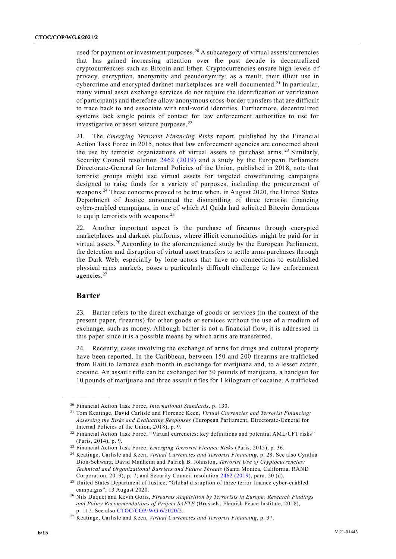used for payment or investment purposes.<sup>20</sup> A subcategory of virtual assets/currencies that has gained increasing attention over the past decade is decentralized cryptocurrencies such as Bitcoin and Ether. Cryptocurrencies ensure high levels of privacy, encryption, anonymity and pseudonymity; as a result, their illicit use in cybercrime and encrypted darknet marketplaces are well documented.<sup>21</sup> In particular, many virtual asset exchange services do not require the identification or verification of participants and therefore allow anonymous cross-border transfers that are difficult to trace back to and associate with real-world identities. Furthermore, decentralized systems lack single points of contact for law enforcement authorities to use for investigative or asset seizure purposes. <sup>22</sup>

21. The *Emerging Terrorist Financing Risks* report, published by the Financial Action Task Force in 2015, notes that law enforcement agencies are concerned about the use by terrorist organizations of virtual assets to purchase arms.<sup>23</sup> Similarly, Security Council resolution [2462 \(2019\)](http://undocs.org/S/RES/2462(2019)) and a study by the European Parliament Directorate-General for Internal Policies of the Union, published in 2018, note that terrorist groups might use virtual assets for targeted crowdfunding campaigns designed to raise funds for a variety of purposes, including the procurement of weapons.<sup>24</sup> These concerns proved to be true when, in August 2020, the United States Department of Justice announced the dismantling of three terrorist financing cyber-enabled campaigns, in one of which Al Qaida had solicited Bitcoin donations to equip terrorists with weapons.<sup>25</sup>

22. Another important aspect is the purchase of firearms through encrypted marketplaces and darknet platforms, where illicit commodities might be paid for in virtual assets. <sup>26</sup> According to the aforementioned study by the European Parliament, the detection and disruption of virtual asset transfers to settle arms purchases through the Dark Web, especially by lone actors that have no connections to established physical arms markets, poses a particularly difficult challenge to law enforcement agencies.<sup>27</sup>

#### **Barter**

**\_\_\_\_\_\_\_\_\_\_\_\_\_\_\_\_\_\_**

23. Barter refers to the direct exchange of goods or services (in the context of the present paper, firearms) for other goods or services without the use of a medium of exchange, such as money. Although barter is not a financial flow, it is addressed in this paper since it is a possible means by which arms are transferred.

24. Recently, cases involving the exchange of arms for drugs and cultural property have been reported. In the Caribbean, between 150 and 200 firearms are trafficked from Haiti to Jamaica each month in exchange for marijuana and, to a lesser extent, cocaine. An assault rifle can be exchanged for 30 pounds of marijuana, a handgun for 10 pounds of marijuana and three assault rifles for 1 kilogram of cocaine. A trafficked

<sup>20</sup> Financial Action Task Force, *International Standards*, p. 130.

<sup>21</sup> Tom Keatinge, David Carlisle and Florence Keen, *Virtual Currencies and Terrorist Financing: Assessing the Risks and Evaluating Responses* (European Parliament, Directorate-General for Internal Policies of the Union, 2018), p. 9.

<sup>&</sup>lt;sup>22</sup> Financial Action Task Force, "Virtual currencies: key definitions and potential AML/CFT risks" (Paris, 2014), p. 9.

<sup>23</sup> Financial Action Task Force, *Emerging Terrorist Finance Risks* (Paris, 2015), p. 36.

<sup>24</sup> Keatinge, Carlisle and Keen, *Virtual Currencies and Terrorist Financing*, p. 28. See also Cynthia Dion-Schwarz, David Manheim and Patrick B. Johnston, *Terrorist Use of Cryptocurrencies: Technical and Organizational Barriers and Future Threats* (Santa Monica, California, RAND Corporation, 2019), p. 7; and Security Council resolution [2462 \(2019\),](https://undocs.org/S/RES/2462(2019)) para. 20 (d).

<sup>&</sup>lt;sup>25</sup> United States Department of Justice, "Global disruption of three terror finance cyber-enabled campaigns", 13 August 2020.

<sup>26</sup> Nils Duquet and Kevin Goris, *Firearms Acquisition by Terrorists in Europe: Research Findings and Policy Recommendations of Project SAFTE* (Brussels, Flemish Peace Institute, 2018), p. 117. See also [CTOC/COP/WG.6/2020/2.](https://undocs.org/CTOC/COP/WG.6/2020/2)

<sup>27</sup> Keatinge, Carlisle and Keen, *Virtual Currencies and Terrorist Financing*, p. 37.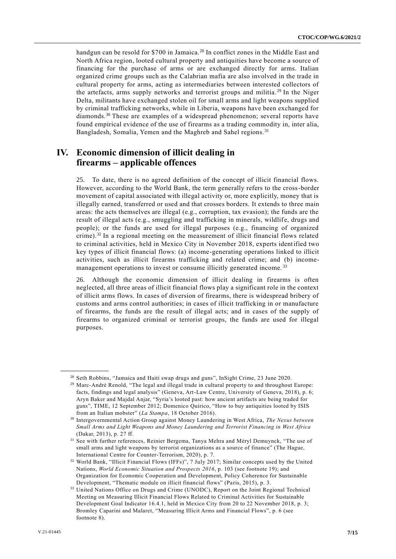handgun can be resold for \$700 in Jamaica.<sup>28</sup> In conflict zones in the Middle East and North Africa region, looted cultural property and antiquities have become a source of financing for the purchase of arms or are exchanged directly for arms. Italian organized crime groups such as the Calabrian mafia are also involved in the trade in cultural property for arms, acting as intermediaries between interested collectors of the artefacts, arms supply networks and terrorist groups and militia. <sup>29</sup> In the Niger Delta, militants have exchanged stolen oil for small arms and light weapons supplied by criminal trafficking networks, while in Liberia, weapons have been exchanged for diamonds.<sup>30</sup> These are examples of a widespread phenomenon; several reports have found empirical evidence of the use of firearms as a trading commodity in, inter alia, Bangladesh, Somalia, Yemen and the Maghreb and Sahel regions. <sup>31</sup>

# **IV. Economic dimension of illicit dealing in firearms – applicable offences**

25. To date, there is no agreed definition of the concept of illicit financial flows. However, according to the World Bank, the term generally refers to the cross-border movement of capital associated with illegal activity or, more explicitly, money that is illegally earned, transferred or used and that crosses borders. It extends to three main areas: the acts themselves are illegal (e.g., corruption, tax evasion); the funds are the result of illegal acts (e.g., smuggling and trafficking in minerals, wildlife, drugs and people); or the funds are used for illegal purposes (e.g., financing of organized crime).<sup>32</sup> In a regional meeting on the measurement of illicit financial flows related to criminal activities, held in Mexico City in November 2018, experts identified two key types of illicit financial flows: (a) income-generating operations linked to illicit activities, such as illicit firearms trafficking and related crime; and (b) incomemanagement operations to invest or consume illicitly generated income.<sup>33</sup>

26. Although the economic dimension of illicit dealing in firearms is often neglected, all three areas of illicit financial flows play a significant role in the context of illicit arms flows. In cases of diversion of firearms, there is widespread bribery of customs and arms control authorities; in cases of illicit trafficking in or manufacture of firearms, the funds are the result of illegal acts; and in cases of the supply of firearms to organized criminal or terrorist groups, the funds are used for illegal purposes.

<sup>28</sup> Seth Robbins, "Jamaica and Haiti swap drugs and guns", InSight Crime, 23 June 2020.

<sup>&</sup>lt;sup>29</sup> Marc-André Renold, "The legal and illegal trade in cultural property to and throughout Europe: facts, findings and legal analysis" (Geneva, Art-Law Centre, University of Geneva, 2018), p. 6; Aryn Baker and Majdal Anjar, "Syria's looted past: how ancient artifacts are being traded for guns", TIME, 12 September 2012; Domenico Quirico, "How to buy antiquities looted by ISIS from an Italian mobster" (*La Stampa*, 18 October 2016).

<sup>30</sup> Intergovernmental Action Group against Money Laundering in West Africa, *The Nexus between Small Arms and Light Weapons and Money Laundering and Terrorist Financing in West Africa* (Dakar, 2013), p. 27 ff.

<sup>31</sup> See with further references, Reinier Bergema, Tanya Mehra and Méryl Demuynck, "The use of small arms and light weapons by terrorist organizations as a source of finance" (The Hague, International Centre for Counter-Terrorism, 2020), p. 7.

<sup>32</sup> World Bank, "Illicit Financial Flows (IFFs)", 7 July 2017; Similar concepts used by the United Nations, *World Economic Situation and Prospects 2016*, p. 103 (see footnote 19); and Organization for Economic Cooperation and Development, Policy Coherence for Sustainable Development, "Thematic module on illicit financial flows" (Paris, 2015), p. 3.

<sup>&</sup>lt;sup>33</sup> United Nations Office on Drugs and Crime (UNODC), Report on the Joint Regional Technical Meeting on Measuring Illicit Financial Flows Related to Criminal Activities for Sustainable Development Goal Indicator 16.4.1, held in Mexico City from 20 to 22 November 2018, p. 3; Bromley Caparini and Malaret, "Measuring Illicit Arms and Financial Flows", p. 6 (see footnote 8).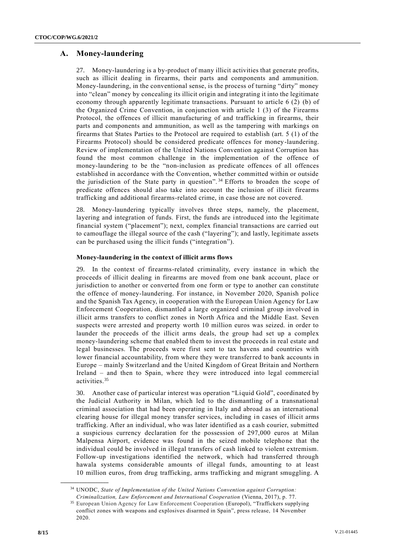## **A. Money-laundering**

27. Money-laundering is a by-product of many illicit activities that generate profits, such as illicit dealing in firearms, their parts and components and ammunition. Money-laundering, in the conventional sense, is the process of turning "dirty" money into "clean" money by concealing its illicit origin and integrating it into the legitimate economy through apparently legitimate transactions. Pursuant to article 6 (2) (b) of the Organized Crime Convention, in conjunction with article 1 (3) of the Firearms Protocol, the offences of illicit manufacturing of and trafficking in firearms, their parts and components and ammunition, as well as the tampering with markings on firearms that States Parties to the Protocol are required to establish (art. 5 (1) of the Firearms Protocol) should be considered predicate offences for money-laundering. Review of implementation of the United Nations Convention against Corruption has found the most common challenge in the implementation of the offence of money-laundering to be the "non-inclusion as predicate offences of all offences established in accordance with the Convention, whether committed within or outside the jurisdiction of the State party in question".<sup>34</sup> Efforts to broaden the scope of predicate offences should also take into account the inclusion of illicit firearms trafficking and additional firearms-related crime, in case those are not covered.

28. Money-laundering typically involves three steps, namely, the placement, layering and integration of funds. First, the funds are introduced into the legitimate financial system ("placement"); next, complex financial transactions are carried out to camouflage the illegal source of the cash ("layering"); and lastly, legitimate assets can be purchased using the illicit funds ("integration").

#### **Money-laundering in the context of illicit arms flows**

29. In the context of firearms-related criminality, every instance in which the proceeds of illicit dealing in firearms are moved from one bank account, place or jurisdiction to another or converted from one form or type to another can constitute the offence of money-laundering. For instance, in November 2020, Spanish police and the Spanish Tax Agency, in cooperation with the European Union Agency for Law Enforcement Cooperation, dismantled a large organized criminal group involved in illicit arms transfers to conflict zones in North Africa and the Middle East. Seven suspects were arrested and property worth 10 million euros was seized. in order to launder the proceeds of the illicit arms deals, the group had set up a complex money-laundering scheme that enabled them to invest the proceeds in real estate and legal businesses. The proceeds were first sent to tax havens and countries with lower financial accountability, from where they were transferred to bank accounts in Europe – mainly Switzerland and the United Kingdom of Great Britain and Northern Ireland – and then to Spain, where they were introduced into legal commercial activities.<sup>35</sup>

30. Another case of particular interest was operation "Liquid Gold", coordinated by the Judicial Authority in Milan, which led to the dismantling of a transnational criminal association that had been operating in Italy and abroad as an international clearing house for illegal money transfer services, including in cases of illicit arms trafficking. After an individual, who was later identified as a cash courier, submitted a suspicious currency declaration for the possession of 297,000 euros at Milan Malpensa Airport, evidence was found in the seized mobile telephone that the individual could be involved in illegal transfers of cash linked to violent extremism. Follow-up investigations identified the network, which had transferred through hawala systems considerable amounts of illegal funds, amounting to at least 10 million euros, from drug trafficking, arms trafficking and migrant smuggling. A

<sup>34</sup> UNODC, *State of Implementation of the United Nations Convention against Corruption: Criminalization, Law Enforcement and International Cooperation* (Vienna, 2017), p. 77.

<sup>35</sup> European Union Agency for Law Enforcement Cooperation (Europol), "Traffickers supplying conflict zones with weapons and explosives disarmed in Spain", press release, 14 November 2020.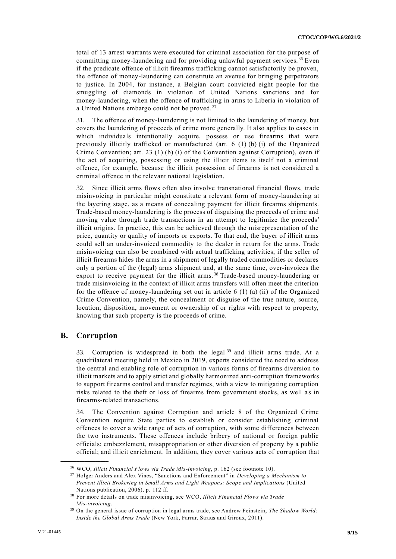total of 13 arrest warrants were executed for criminal association for the purpose of committing money-laundering and for providing unlawful payment services. <sup>36</sup> Even if the predicate offence of illicit firearms trafficking cannot satisfactorily be proven, the offence of money-laundering can constitute an avenue for bringing perpetrators to justice. In 2004, for instance, a Belgian court convicted eight people for the smuggling of diamonds in violation of United Nations sanctions and for money-laundering, when the offence of trafficking in arms to Liberia in violation of a United Nations embargo could not be proved.<sup>37</sup>

31. The offence of money-laundering is not limited to the laundering of money, but covers the laundering of proceeds of crime more generally. It also applies to cases in which individuals intentionally acquire, possess or use firearms that were previously illicitly trafficked or manufactured (art. 6 (1) (b) (i) of the Organized Crime Convention; art. 23 (1) (b) (i) of the Convention against Corruption), even if the act of acquiring, possessing or using the illicit items is itself not a criminal offence, for example, because the illicit possession of firearms is not considered a criminal offence in the relevant national legislation.

32. Since illicit arms flows often also involve transnational financial flows, trade misinvoicing in particular might constitute a relevant form of money-laundering at the layering stage, as a means of concealing payment for illicit firearms shipments. Trade-based money-laundering is the process of disguising the proceeds of crime and moving value through trade transactions in an attempt to legitimize the proceeds' illicit origins. In practice, this can be achieved through the misrepresentation of the price, quantity or quality of imports or exports. To that end, the buyer of illicit arms could sell an under-invoiced commodity to the dealer in return for the arms. Trade misinvoicing can also be combined with actual trafficking activities, if the seller of illicit firearms hides the arms in a shipment of legally traded commodities or declares only a portion of the (legal) arms shipment and, at the same time, over-invoices the export to receive payment for the illicit arms.<sup>38</sup> Trade-based money-laundering or trade misinvoicing in the context of illicit arms transfers will often meet the criterion for the offence of money-laundering set out in article  $6(1)(a)(ii)$  of the Organized Crime Convention, namely, the concealment or disguise of the true nature, source, location, disposition, movement or ownership of or rights with respect to property, knowing that such property is the proceeds of crime.

#### **B. Corruption**

**\_\_\_\_\_\_\_\_\_\_\_\_\_\_\_\_\_\_**

33. Corruption is widespread in both the legal<sup>39</sup> and illicit arms trade. At a quadrilateral meeting held in Mexico in 2019, experts considered the need to address the central and enabling role of corruption in various forms of firearms diversion to illicit markets and to apply strict and globally harmonized anti-corruption frameworks to support firearms control and transfer regimes, with a view to mitigating corruption risks related to the theft or loss of firearms from government stocks, as well as in firearms-related transactions.

34. The Convention against Corruption and article 8 of the Organized Crime Convention require State parties to establish or consider establishing criminal offences to cover a wide range of acts of corruption, with some differences between the two instruments. These offences include bribery of national or foreign public officials; embezzlement, misappropriation or other diversion of property by a public official; and illicit enrichment. In addition, they cover various acts of corruption that

<sup>36</sup> WCO, *Illicit Financial Flows via Trade Mis-invoicing*, p. 162 (see footnote 10).

<sup>37</sup> Holger Anders and Alex Vines, "Sanctions and Enforcement" in *Developing a Mechanism to Prevent Illicit Brokering in Small Arms and Light Weapons: Scope and Implications* (United Nations publication, 2006), p. 112 ff.

<sup>38</sup> For more details on trade misinvoicing, see WCO, *Illicit Financial Flows via Trade Mis-invoicing*.

<sup>39</sup> On the general issue of corruption in legal arms trade, see Andrew Feinstein, *The Shadow World: Inside the Global Arms Trade* (New York, Farrar, Straus and Giroux, 2011).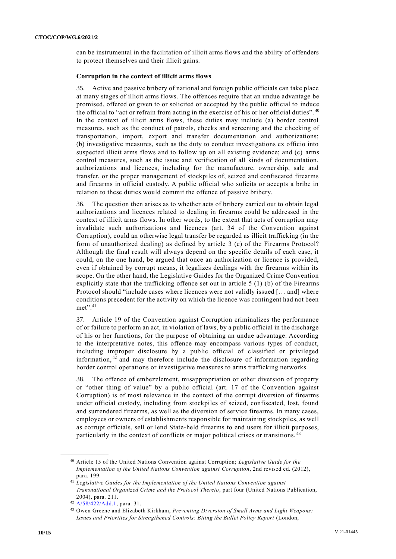can be instrumental in the facilitation of illicit arms flows and the ability of offenders to protect themselves and their illicit gains.

#### **Corruption in the context of illicit arms flows**

35. Active and passive bribery of national and foreign public officials can take place at many stages of illicit arms flows. The offences require that an undue advantage be promised, offered or given to or solicited or accepted by the public official to induce the official to "act or refrain from acting in the exercise of his or her official duties". <sup>40</sup> In the context of illicit arms flows, these duties may include (a) border control measures, such as the conduct of patrols, checks and screening and the checking of transportation, import, export and transfer documentation and authorizations; (b) investigative measures, such as the duty to conduct investigations ex officio into suspected illicit arms flows and to follow up on all existing evidence; and (c) arms control measures, such as the issue and verification of all kinds of documentation, authorizations and licences, including for the manufacture, ownership, sale and transfer, or the proper management of stockpiles of, seized and confiscated firearms and firearms in official custody. A public official who solicits or accepts a bribe in relation to these duties would commit the offence of passive bribery.

36. The question then arises as to whether acts of bribery carried out to obtain legal authorizations and licences related to dealing in firearms could be addressed in the context of illicit arms flows. In other words, to the extent that acts of corruption may invalidate such authorizations and licences (art. 34 of the Convention against Corruption), could an otherwise legal transfer be regarded as illicit trafficking (in the form of unauthorized dealing) as defined by article 3 (e) of the Firearms Protocol? Although the final result will always depend on the specific details of each case, it could, on the one hand, be argued that once an authorization or licence is provided, even if obtained by corrupt means, it legalizes dealings with the firearms within its scope. On the other hand, the Legislative Guides for the Organized Crime Convention explicitly state that the trafficking offence set out in article  $5(1)$  (b) of the Firearms Protocol should "include cases where licences were not validly issued [… and] where conditions precedent for the activity on which the licence was contingent had not been met".<sup>41</sup>

37. Article 19 of the Convention against Corruption criminalizes the performance of or failure to perform an act, in violation of laws, by a public official in the discharge of his or her functions, for the purpose of obtaining an undue advantage. According to the interpretative notes, this offence may encompass various types of conduct, including improper disclosure by a public official of classified or privileged information, <sup>42</sup> and may therefore include the disclosure of information regarding border control operations or investigative measures to arms trafficking networks.

38. The offence of embezzlement, misappropriation or other diversion of property or "other thing of value" by a public official (art. 17 of the Convention against Corruption) is of most relevance in the context of the corrupt diversion of firearms under official custody, including from stockpiles of seized, confiscated, lost, found and surrendered firearms, as well as the diversion of service firearms. In many cases, employees or owners of establishments responsible for maintaining stockpiles, as well as corrupt officials, sell or lend State-held firearms to end users for illicit purposes, particularly in the context of conflicts or major political crises or transitions. <sup>43</sup>

<sup>40</sup> Article 15 of the United Nations Convention against Corruption; *Legislative Guide for the Implementation of the United Nations Convention against Corruption*, 2nd revised ed. (2012), para. 199.

<sup>41</sup> *Legislative Guides for the Implementation of the United Nations Convention against Transnational Organized Crime and the Protocol Thereto*, part four (United Nations Publication, 2004), para. 211.

<sup>42</sup> [A/58/422/Add.1,](https://undocs.org/A/58/422/Add.1) para. 31.

<sup>43</sup> Owen Greene and Elizabeth Kirkham, *Preventing Diversion of Small Arms and Light Weapons: Issues and Priorities for Strengthened Controls: Biting the Bullet Policy Report* (London,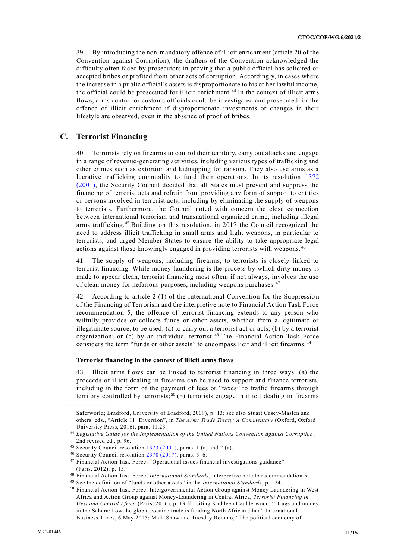39. By introducing the non-mandatory offence of illicit enrichment (article 20 of the Convention against Corruption), the drafters of the Convention acknowledged the difficulty often faced by prosecutors in proving that a public official has solicited or accepted bribes or profited from other acts of corruption. Accordingly, in cases where the increase in a public official's assets is disproportionate to his or her lawful income, the official could be prosecuted for illicit enrichment. <sup>44</sup> In the context of illicit arms flows, arms control or customs officials could be investigated and prosecuted for the offence of illicit enrichment if disproportionate investments or changes in their lifestyle are observed, even in the absence of proof of bribes.

#### **C. Terrorist Financing**

40. Terrorists rely on firearms to control their territory, carry out attacks and engage in a range of revenue-generating activities, including various types of trafficking and other crimes such as extortion and kidnapping for ransom. They also use arms as a lucrative trafficking commodity to fund their operations. In its resolution [1372](http://undocs.org/S/RES/1372(2001))  [\(2001\),](http://undocs.org/S/RES/1372(2001)) the Security Council decided that all States must prevent and suppress the financing of terrorist acts and refrain from providing any form of support to entities or persons involved in terrorist acts, including by eliminating the supply of weapons to terrorists. Furthermore, the Council noted with concern the close connection between international terrorism and transnational organized crime, including illegal arms trafficking.<sup>45</sup> Building on this resolution, in 2017 the Council recognized the need to address illicit trafficking in small arms and light weapons, in particular to terrorists, and urged Member States to ensure the ability to take appropriate legal actions against those knowingly engaged in providing terrorists with weapons. <sup>46</sup>

41. The supply of weapons, including firearms, to terrorists is closely linked to terrorist financing. While money-laundering is the process by which dirty money is made to appear clean, terrorist financing most often, if not always, involves the use of clean money for nefarious purposes, including weapons purchases.<sup>47</sup>

42. According to article 2 (1) of the International Convention for the Suppression of the Financing of Terrorism and the interpretive note to Financial Action Task Force recommendation 5, the offence of terrorist financing extends to any person who wilfully provides or collects funds or other assets, whether from a legitimate or illegitimate source, to be used: (a) to carry out a terrorist act or acts; (b) by a terrorist organization; or (c) by an individual terrorist.<sup>48</sup> The Financial Action Task Force considers the term "funds or other assets" to encompass licit and illicit firearms. <sup>49</sup>

#### **Terrorist financing in the context of illicit arms flows**

43. Illicit arms flows can be linked to terrorist financing in three ways: (a) the proceeds of illicit dealing in firearms can be used to support and finance terrorists, including in the form of the payment of fees or "taxes" to traffic firearms through territory controlled by terrorists;<sup>50</sup> (b) terrorists engage in illicit dealing in firearms

Saferworld; Bradford, University of Bradford, 2009), p. 13; see also Stuart Casey-Maslen and others, eds., "Article 11: Diversion", in *The Arms Trade Treaty: A Commentary* (Oxford, Oxford University Press, 2016), para. 11.23.

<sup>44</sup> *Legislative Guide for the Implementation of the United Nations Convention against Corruption*, 2nd revised ed., p. 96.

 $45$  Security Council resolution [1373 \(2001\),](https://undocs.org/S/RES/1373(2001)) paras. 1 (a) and 2 (a).

<sup>46</sup> Security Council resolution [2370 \(2017\),](https://undocs.org/S/RES/2370(2017)) paras. 5–6.

<sup>47</sup> Financial Action Task Force, "Operational issues financial investigations guidance" (Paris, 2012), p. 15.

<sup>48</sup> Financial Action Task Force, *International Standards*, interpretive note to recommendation 5.

<sup>49</sup> See the definition of "funds or other assets" in the *International Standards*, p. 124.

<sup>50</sup> Financial Action Task Force, Intergovernmental Action Group against Money Laundering in West Africa and Action Group against Money-Laundering in Central Africa, *Terrorist Financing in West and Central Africa* (Paris, 2016), p. 19 ff.; citing Kathleen Caulderwood, "Drugs and money in the Sahara: how the global cocaine trade is funding North African Jihad" International Business Times, 6 May 2015; Mark Shaw and Tuesday Reitano, "The political economy of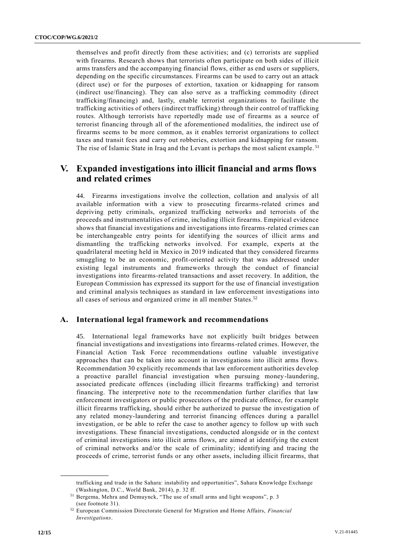themselves and profit directly from these activities; and (c) terrorists are supplied with firearms. Research shows that terrorists often participate on both sides of illicit arms transfers and the accompanying financial flows, either as end users or suppliers, depending on the specific circumstances. Firearms can be used to carry out an attack (direct use) or for the purposes of extortion, taxation or kidnapping for ransom (indirect use/financing). They can also serve as a trafficking commodity (direct trafficking/financing) and, lastly, enable terrorist organizations to facilitate the trafficking activities of others (indirect trafficking) through their control of trafficking routes. Although terrorists have reportedly made use of firearms as a source of terrorist financing through all of the aforementioned modalities, the indirect use of firearms seems to be more common, as it enables terrorist organizations to collect taxes and transit fees and carry out robberies, extortion and kidnapping for ransom. The rise of Islamic State in Iraq and the Levant is perhaps the most salient example.<sup>51</sup>

# **V. Expanded investigations into illicit financial and arms flows and related crimes**

44. Firearms investigations involve the collection, collation and analysis of all available information with a view to prosecuting firearms-related crimes and depriving petty criminals, organized trafficking networks and terrorists of the proceeds and instrumentalities of crime, including illicit firearms. Empirical evidence shows that financial investigations and investigations into firearms-related crimes can be interchangeable entry points for identifying the sources of illicit arms and dismantling the trafficking networks involved. For example, experts at the quadrilateral meeting held in Mexico in 2019 indicated that they considered firearms smuggling to be an economic, profit-oriented activity that was addressed under existing legal instruments and frameworks through the conduct of financial investigations into firearms-related transactions and asset recovery. In addition, the European Commission has expressed its support for the use of financial investigation and criminal analysis techniques as standard in law enforcement investigations into all cases of serious and organized crime in all member States.<sup>52</sup>

### **A. International legal framework and recommendations**

45. International legal frameworks have not explicitly built bridges between financial investigations and investigations into firearms-related crimes. However, the Financial Action Task Force recommendations outline valuable investigative approaches that can be taken into account in investigations into illicit arms flows. Recommendation 30 explicitly recommends that law enforcement authorities develop a proactive parallel financial investigation when pursuing money-laundering, associated predicate offences (including illicit firearms trafficking) and terrorist financing. The interpretive note to the recommendation further clarifies that law enforcement investigators or public prosecutors of the predicate offence, for example illicit firearms trafficking, should either be authorized to pursue the investigation of any related money-laundering and terrorist financing offences during a parallel investigation, or be able to refer the case to another agency to follow up with such investigations. These financial investigations, conducted alongside or in the context of criminal investigations into illicit arms flows, are aimed at identifying the extent of criminal networks and/or the scale of criminality; identifying and tracing the proceeds of crime, terrorist funds or any other assets, including illicit firearms, that

trafficking and trade in the Sahara: instability and opportunities", Sahara Knowledge Exchange (Washington, D.C., World Bank, 2014), p. 32 ff.

<sup>51</sup> Bergema, Mehra and Demuynck, "The use of small arms and light weapons", p. 3 (see footnote 31).

<sup>52</sup> European Commission Directorate General for Migration and Home Affairs, *Financial Investigations*.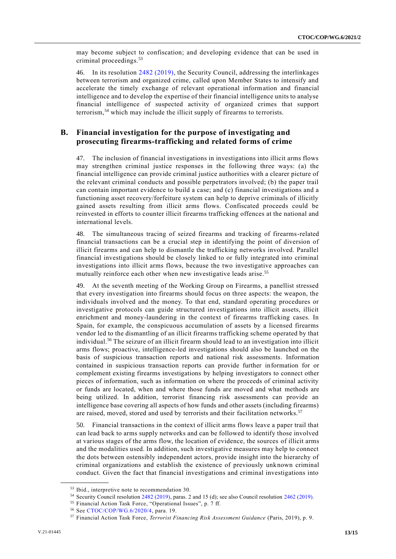may become subject to confiscation; and developing evidence that can be used in criminal proceedings.<sup>53</sup>

46. In its resolution [2482 \(2019\),](http://undocs.org/S/RES/2482(2019)) the Security Council, addressing the interlinkages between terrorism and organized crime, called upon Member States to intensify and accelerate the timely exchange of relevant operational information and financial intelligence and to develop the expertise of their financial intelligence units to analyse financial intelligence of suspected activity of organized crimes that support terrorism,<sup>54</sup> which may include the illicit supply of firearms to terrorists.

### **B. Financial investigation for the purpose of investigating and prosecuting firearms-trafficking and related forms of crime**

47. The inclusion of financial investigations in investigations into illicit arms flows may strengthen criminal justice responses in the following three ways: (a) the financial intelligence can provide criminal justice authorities with a clearer picture of the relevant criminal conducts and possible perpetrators involved; (b) the paper trail can contain important evidence to build a case; and (c) financial investigations and a functioning asset recovery/forfeiture system can help to deprive criminals of illicitly gained assets resulting from illicit arms flows. Confiscated proceeds could be reinvested in efforts to counter illicit firearms trafficking offences at the national and international levels.

48. The simultaneous tracing of seized firearms and tracking of firearms-related financial transactions can be a crucial step in identifying the point of diversion of illicit firearms and can help to dismantle the trafficking networks involved. Parallel financial investigations should be closely linked to or fully integrated into criminal investigations into illicit arms flows, because the two investigative approaches can mutually reinforce each other when new investigative leads arise. 55

49. At the seventh meeting of the Working Group on Firearms, a panellist stressed that every investigation into firearms should focus on three aspects: the weapon, the individuals involved and the money. To that end, standard operating procedures or investigative protocols can guide structured investigations into illicit assets, illicit enrichment and money-laundering in the context of firearms trafficking cases. In Spain, for example, the conspicuous accumulation of assets by a licensed firearms vendor led to the dismantling of an illicit firearms trafficking scheme operated by that individual.<sup>56</sup> The seizure of an illicit firearm should lead to an investigation into illicit arms flows; proactive, intelligence-led investigations should also be launched on the basis of suspicious transaction reports and national risk assessments. Information contained in suspicious transaction reports can provide further information for or complement existing firearms investigations by helping investigators to connect other pieces of information, such as information on where the proceeds of criminal activity or funds are located, when and where those funds are moved and what methods are being utilized. In addition, terrorist financing risk assessments can provide an intelligence base covering all aspects of how funds and other assets (including firearms) are raised, moved, stored and used by terrorists and their facilitation networks.<sup>57</sup>

50. Financial transactions in the context of illicit arms flows leave a paper trail that can lead back to arms supply networks and can be followed to identify those involved at various stages of the arms flow, the location of evidence, the sources of illicit arms and the modalities used. In addition, such investigative measures may help to connect the dots between ostensibly independent actors, provide insight into the hierarchy of criminal organizations and establish the existence of previously unknown criminal conduct. Given the fact that financial investigations and criminal investigations into

<sup>53</sup> Ibid., interpretive note to recommendation 30.

<sup>54</sup> Security Council resolution [2482 \(2019\),](https://undocs.org/S/RES/2482(2019)) paras. 2 and 15 (d); see also Council resolution [2462 \(2019\).](https://undocs.org/S/RES/2462(2019))

<sup>55</sup> Financial Action Task Force, "Operational Issues", p. 7 ff.

<sup>56</sup> See [CTOC/COP/WG.6/2020/4,](https://undocs.org/CTOC/COP/WG.6/2020/4) para. 19.

<sup>57</sup> Financial Action Task Force, *Terrorist Financing Risk Assessment Guidance* (Paris, 2019), p. 9.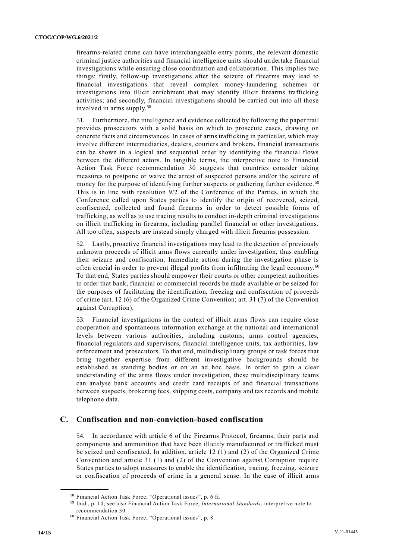firearms-related crime can have interchangeable entry points, the relevant domestic criminal justice authorities and financial intelligence units should undertake financial investigations while ensuring close coordination and collaboration. This implies two things: firstly, follow-up investigations after the seizure of firearms may lead to financial investigations that reveal complex money-laundering schemes or investigations into illicit enrichment that may identify illicit firearms trafficking activities; and secondly, financial investigations should be carried out into all those involved in arms supply.<sup>58</sup>

51. Furthermore, the intelligence and evidence collected by following the paper trail provides prosecutors with a solid basis on which to prosecute cases, drawing on concrete facts and circumstances. In cases of arms trafficking in particular, which may involve different intermediaries, dealers, couriers and brokers, financial transactions can be shown in a logical and sequential order by identifying the financial flows between the different actors. In tangible terms, the interpretive note to Financial Action Task Force recommendation 30 suggests that countries consider taking measures to postpone or waive the arrest of suspected persons and/or the seizure of money for the purpose of identifying further suspects or gathering further evidence.<sup>59</sup> This is in line with resolution 9/2 of the Conference of the Parties, in which the Conference called upon States parties to identify the origin of recovered, seized, confiscated, collected and found firearms in order to detect possible forms of trafficking, as well as to use tracing results to conduct in-depth criminal investigations on illicit trafficking in firearms, including parallel financial or other investigations. All too often, suspects are instead simply charged with illicit firearms possession.

52. Lastly, proactive financial investigations may lead to the detection of previously unknown proceeds of illicit arms flows currently under investigation, thus enabling their seizure and confiscation. Immediate action during the investigation phase is often crucial in order to prevent illegal profits from infiltrating the legal economy. <sup>60</sup> To that end, States parties should empower their courts or other competent authorities to order that bank, financial or commercial records be made available or be seized for the purposes of facilitating the identification, freezing and confiscation of proceeds of crime (art. 12 (6) of the Organized Crime Convention; art. 31 (7) of the Convention against Corruption).

53. Financial investigations in the context of illicit arms flows can require close cooperation and spontaneous information exchange at the national and international levels between various authorities, including customs, arms control agencies, financial regulators and supervisors, financial intelligence units, tax authorities, law enforcement and prosecutors. To that end, multidisciplinary groups or task forces that bring together expertise from different investigative backgrounds should be established as standing bodies or on an ad hoc basis. In order to gain a clear understanding of the arms flows under investigation, these multidisciplinary teams can analyse bank accounts and credit card receipts of and financial transactions between suspects, brokering fees, shipping costs, company and tax records and mobile telephone data.

## **C. Confiscation and non-conviction-based confiscation**

54. In accordance with article 6 of the Firearms Protocol, firearms, their parts and components and ammunition that have been illicitly manufactured or trafficked must be seized and confiscated. In addition, article 12 (1) and (2) of the Organized Crime Convention and article 31 (1) and (2) of the Convention against Corruption require States parties to adopt measures to enable the identification, tracing, freezing, seizure or confiscation of proceeds of crime in a general sense. In the case of illicit arms

<sup>58</sup> Financial Action Task Force, "Operational issues", p. 6 ff.

<sup>59</sup> Ibid., p. 10; see also Financial Action Task Force, *International Standards*, interpretive note to recommendation 30.

<sup>60</sup> Financial Action Task Force, "Operational issues", p. 8.